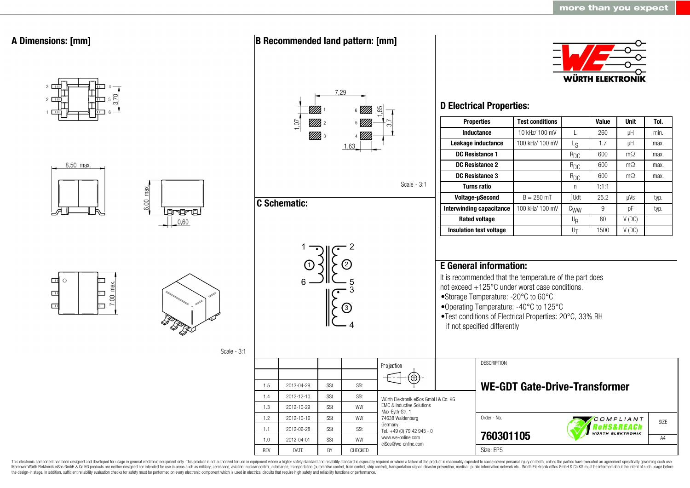

This electronic component has been designed and developed for usage in general electronic equipment only. This product is not authorized for use in equipment where a higher safety standard and reliability standard is espec Moreover Würth Elektronik eiSos GmbH & Co KG products are neither designed nor intended for use in areas such as military, aerospace, aviation, nuclear control, submarine, transportation (automotive control, ship control), the design-in stage. In addition, sufficient reliability evaluation checks for safety must be performed on every electronic component which is used in electrical circuits that require high safety and reliability functions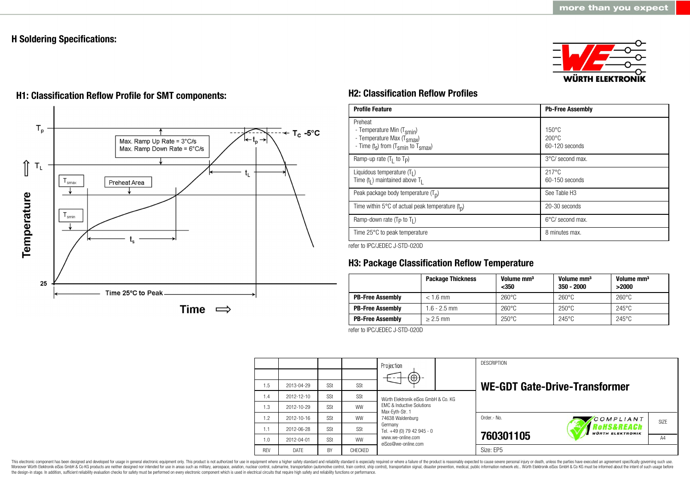# **H Soldering Specifications:**



# $T_{p}$  $T_c - 5$ °C Max. Ramp Up Rate = 3°C/s Max. Ramp Down Rate = 6°C/s ⇑  $\mathsf{T}_\mathsf{L}$ t. Preheat Area smax Temperature  $T_{\text{smin}}$ 25 Time 25°C to Peak Time  $\implies$

# **H1: Classification Reflow Profile for SMT components: H2: Classification Reflow Profiles**

| <b>Profile Feature</b>                                                                                                                        | <b>Pb-Free Assembly</b>                                |
|-----------------------------------------------------------------------------------------------------------------------------------------------|--------------------------------------------------------|
| Preheat<br>- Temperature Min (T <sub>smin</sub> )<br>- Temperature Max (T <sub>Smax</sub> )<br>- Time $(t_s)$ from $(T_{smin}$ to $T_{smax})$ | $150^{\circ}$ C<br>$200^{\circ}$ C<br>$60-120$ seconds |
| Ramp-up rate $(T_1$ to $T_p$ )                                                                                                                | $3^{\circ}$ C/ second max.                             |
| Liquidous temperature $(T1)$<br>Time $(t_1)$ maintained above $T_1$                                                                           | $217^{\circ}$ C<br>$60-150$ seconds                    |
| Peak package body temperature $(T_p)$                                                                                                         | See Table H <sub>3</sub>                               |
| Time within 5°C of actual peak temperature $(t_n)$                                                                                            | 20-30 seconds                                          |
| Ramp-down rate ( $T_P$ to $T_I$ )                                                                                                             | $6^{\circ}$ C/ second max.                             |
| Time 25°C to peak temperature                                                                                                                 | 8 minutes max.                                         |

refer to IPC/JEDEC J-STD-020D

# **H3: Package Classification Reflow Temperature**

|                         | <b>Package Thickness</b> | Volume mm <sup>3</sup><br>$350$ | Volume mm <sup>3</sup><br>$350 - 2000$ | Volume mm <sup>3</sup><br>>2000 |
|-------------------------|--------------------------|---------------------------------|----------------------------------------|---------------------------------|
| <b>PB-Free Assembly</b> | $< 1.6$ mm               | $260^{\circ}$ C                 | $260^{\circ}$ C                        | $260^{\circ}$ C                 |
| <b>PB-Free Assembly</b> | $1.6 - 2.5$ mm           | $260^{\circ}$ C                 | $250^{\circ}$ C                        | $245^{\circ}$ C                 |
| <b>PB-Free Assembly</b> | $> 2.5$ mm               | $250^{\circ}$ C                 | $245^{\circ}$ C                        | $245^{\circ}$ C                 |

refer to IPC/JEDEC J-STD-020D

|            |            |     |           | Projection<br>$(\oplus)$                                                                                            |  | <b>DESCRIPTION</b>                   |                                       |                   |  |
|------------|------------|-----|-----------|---------------------------------------------------------------------------------------------------------------------|--|--------------------------------------|---------------------------------------|-------------------|--|
| 1.5        | 2013-04-29 | SSt | SSt       |                                                                                                                     |  | <b>WE-GDT Gate-Drive-Transformer</b> |                                       |                   |  |
| 1.4        | 2012-12-10 | SSt | SSt       | Würth Elektronik eiSos GmbH & Co. KG<br><b>EMC &amp; Inductive Solutions</b><br>Max-Eyth-Str. 1<br>74638 Waldenburg |  |                                      |                                       |                   |  |
| 1.3        | 2012-10-29 | SSt | <b>WW</b> |                                                                                                                     |  |                                      |                                       |                   |  |
| 1.2        | 2012-10-16 | SSt | <b>WW</b> |                                                                                                                     |  | Order - No.                          | COMPLIANT                             | SI <sub>7</sub> F |  |
| 1.1        | 2012-06-28 | SSt | SSt       | Germany<br>Tel. +49 (0) 79 42 945 - 0                                                                               |  |                                      | Rohs&REACh<br><b>WÜRTH ELEKTRONIK</b> |                   |  |
| 1.0        | 2012-04-01 | SSt | <b>WW</b> | www.we-online.com<br>eiSos@we-online.com                                                                            |  | 760301105                            |                                       | A4                |  |
| <b>RFV</b> | DATE       | BY  | CHECKED   |                                                                                                                     |  | Size: EP5                            |                                       |                   |  |

This electronic component has been designed and developed for usage in general electronic equipment only. This product is not authorized for use in equipment where a higher safety standard and reliability standard and reli Moreover Würth Elektronik eiSos GmbH & Co KG products are neither designed nor intended for use in areas such as military, aerospace, aviation, nuclear control, submarine, transportation (automotive control), stain control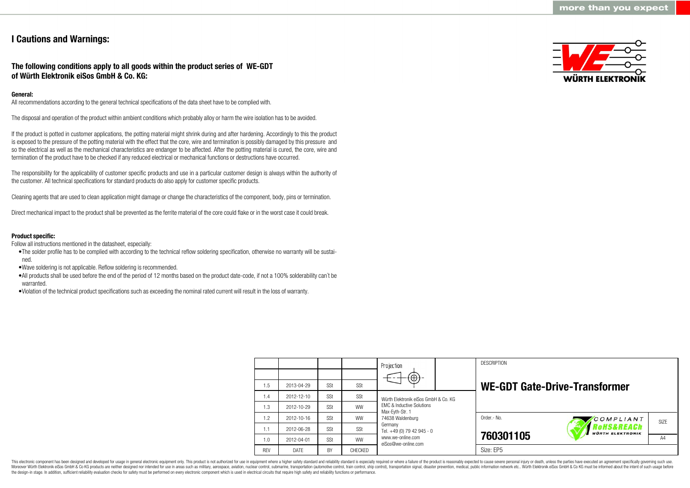# **I Cautions and Warnings:**

# **The following conditions apply to all goods within the product series of WE-GDT of Würth Elektronik eiSos GmbH & Co. KG:**

# **General:**

All recommendations according to the general technical specifications of the data sheet have to be complied with.

The disposal and operation of the product within ambient conditions which probably alloy or harm the wire isolation has to be avoided.

If the product is potted in customer applications, the potting material might shrink during and after hardening. Accordingly to this the product is exposed to the pressure of the potting material with the effect that the core, wire and termination is possibly damaged by this pressure and so the electrical as well as the mechanical characteristics are endanger to be affected. After the potting material is cured, the core, wire and termination of the product have to be checked if any reduced electrical or mechanical functions or destructions have occurred.

The responsibility for the applicability of customer specific products and use in a particular customer design is always within the authority of the customer. All technical specifications for standard products do also apply for customer specific products.

Cleaning agents that are used to clean application might damage or change the characteristics of the component, body, pins or termination.

Direct mechanical impact to the product shall be prevented as the ferrite material of the core could flake or in the worst case it could break.

#### **Product specific:**

Follow all instructions mentioned in the datasheet, especially:

- •The solder profile has to be complied with according to the technical reflow soldering specification, otherwise no warranty will be sustained.
- •Wave soldering is not applicable. Reflow soldering is recommended.
- •All products shall be used before the end of the period of 12 months based on the product date-code, if not a 100% solderability can´t be warranted
- •Violation of the technical product specifications such as exceeding the nominal rated current will result in the loss of warranty.



|            |            |           |                | Projection<br>$(\oplus)$ -                                                  |  | <b>DESCRIPTION</b> |                                       |                   |  |
|------------|------------|-----------|----------------|-----------------------------------------------------------------------------|--|--------------------|---------------------------------------|-------------------|--|
| 1.5        | 2013-04-29 | SSt       | SSt            |                                                                             |  |                    | <b>WE-GDT Gate-Drive-Transformer</b>  |                   |  |
| 1.4        | 2012-12-10 | SSt       | SSt            | Würth Flektronik eiSos GmbH & Co. KG                                        |  |                    |                                       |                   |  |
| 1.3        | 2012-10-29 | SSt       | <b>WW</b>      | <b>FMC &amp; Inductive Solutions</b><br>Max-Eyth-Str. 1<br>74638 Waldenburg |  |                    |                                       |                   |  |
| 1.2        | 2012-10-16 | SSt       | <b>WW</b>      |                                                                             |  | Order .- No.       | COMPLIANT                             | SI <sub>7</sub> F |  |
| 1.1        | 2012-06-28 | SSt       | SSt            | Germany<br>Tel. +49 (0) 79 42 945 - 0                                       |  |                    | Rohs&REACh<br><b>WÜRTH ELEKTRONIK</b> |                   |  |
| 1.0        | 2012-04-01 | SSt       | <b>WW</b>      | www.we-online.com<br>eiSos@we-online.com                                    |  | 760301105          |                                       | A4                |  |
| <b>RFV</b> | DATE       | <b>BY</b> | <b>CHECKED</b> |                                                                             |  | Size: EP5          |                                       |                   |  |

This electronic component has been designed and developed for usage in general electronic equipment only. This product is not authorized for use in equipment where a higher safety standard and reliability standard is espec Moreover Würth Elektronik eiSos GmbH & Co KG products are neither designed nor intended for use in areas such as military, aerospace, aviation, nuclear control, submarine, transportation (automotive control), tain control) the design-in stage. In addition, sufficient reliability evaluation checks for safety must be performed on every electronic component which is used in electrical circuits that require high safety and reliability functions